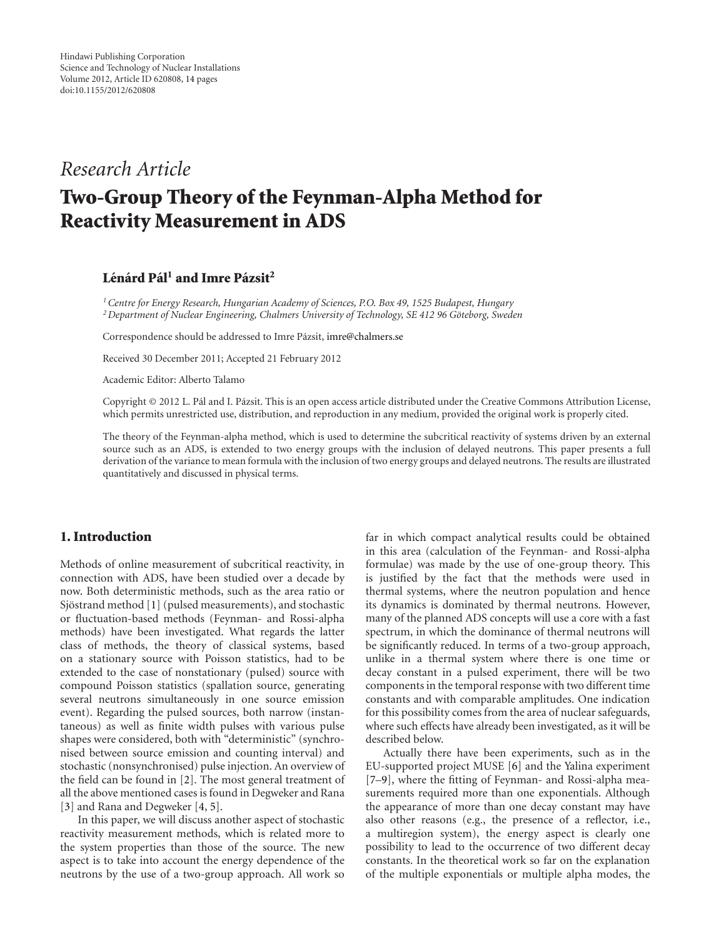# *Research Article*

# **Two-Group Theory of the Feynman-Alpha Method for Reactivity Measurement in ADS**

## *L***énárd Pál<sup>1</sup> and Imre Pázsit<sup>2</sup>**

*1Centre for Energy Research, Hungarian Academy of Sciences, P.O. Box 49, 1525 Budapest, Hungary 2Department of Nuclear Engineering, Chalmers University of Technology, SE 412 96 Goteborg, Sweden ¨*

Correspondence should be addressed to Imre Pázsit, imre@chalmers.se

Received 30 December 2011; Accepted 21 February 2012

Academic Editor: Alberto Talamo

Copyright © 2012 L. Pál and I. Pázsit. This is an open access article distributed under the Creative Commons Attribution License, which permits unrestricted use, distribution, and reproduction in any medium, provided the original work is properly cited.

The theory of the Feynman-alpha method, which is used to determine the subcritical reactivity of systems driven by an external source such as an ADS, is extended to two energy groups with the inclusion of delayed neutrons. This paper presents a full derivation of the variance to mean formula with the inclusion of two energy groups and delayed neutrons. The results are illustrated quantitatively and discussed in physical terms.

### **1. Introduction**

Methods of online measurement of subcritical reactivity, in connection with ADS, have been studied over a decade by now. Both deterministic methods, such as the area ratio or Sjöstrand method [1] (pulsed measurements), and stochastic or fluctuation-based methods (Feynman- and Rossi-alpha methods) have been investigated. What regards the latter class of methods, the theory of classical systems, based on a stationary source with Poisson statistics, had to be extended to the case of nonstationary (pulsed) source with compound Poisson statistics (spallation source, generating several neutrons simultaneously in one source emission event). Regarding the pulsed sources, both narrow (instantaneous) as well as finite width pulses with various pulse shapes were considered, both with "deterministic" (synchronised between source emission and counting interval) and stochastic (nonsynchronised) pulse injection. An overview of the field can be found in [2]. The most general treatment of all the above mentioned cases is found in Degweker and Rana [3] and Rana and Degweker [4, 5].

In this paper, we will discuss another aspect of stochastic reactivity measurement methods, which is related more to the system properties than those of the source. The new aspect is to take into account the energy dependence of the neutrons by the use of a two-group approach. All work so

far in which compact analytical results could be obtained in this area (calculation of the Feynman- and Rossi-alpha formulae) was made by the use of one-group theory. This is justified by the fact that the methods were used in thermal systems, where the neutron population and hence its dynamics is dominated by thermal neutrons. However, many of the planned ADS concepts will use a core with a fast spectrum, in which the dominance of thermal neutrons will be significantly reduced. In terms of a two-group approach, unlike in a thermal system where there is one time or decay constant in a pulsed experiment, there will be two components in the temporal response with two different time constants and with comparable amplitudes. One indication for this possibility comes from the area of nuclear safeguards, where such effects have already been investigated, as it will be described below.

Actually there have been experiments, such as in the EU-supported project MUSE [6] and the Yalina experiment [7–9], where the fitting of Feynman- and Rossi-alpha measurements required more than one exponentials. Although the appearance of more than one decay constant may have also other reasons (e.g., the presence of a reflector, i.e., a multiregion system), the energy aspect is clearly one possibility to lead to the occurrence of two different decay constants. In the theoretical work so far on the explanation of the multiple exponentials or multiple alpha modes, the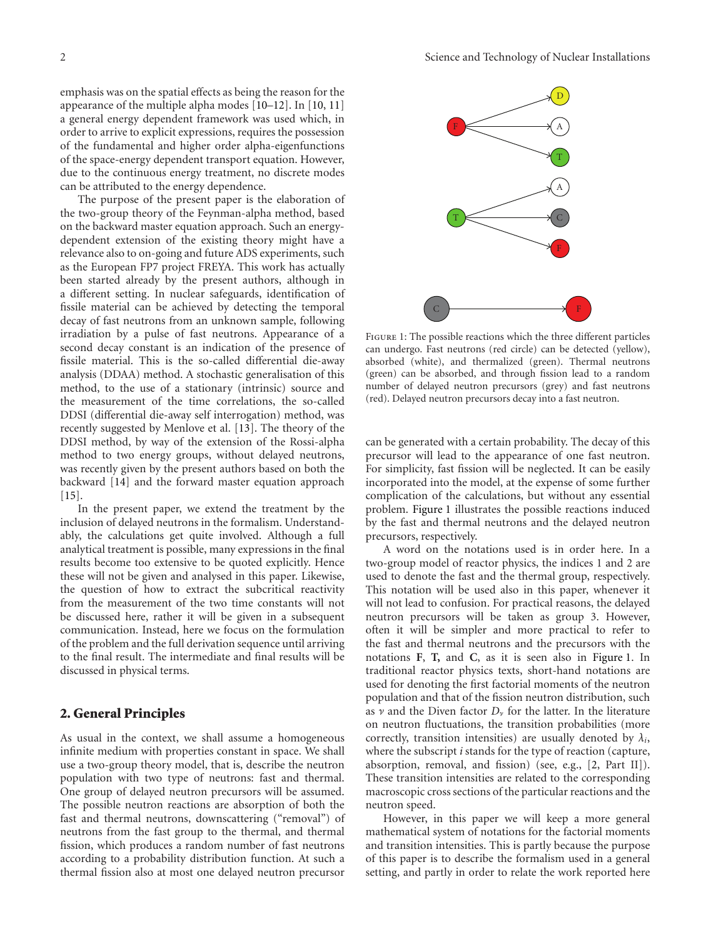emphasis was on the spatial effects as being the reason for the appearance of the multiple alpha modes [10–12]. In [10, 11]

a general energy dependent framework was used which, in order to arrive to explicit expressions, requires the possession of the fundamental and higher order alpha-eigenfunctions of the space-energy dependent transport equation. However, due to the continuous energy treatment, no discrete modes can be attributed to the energy dependence.

The purpose of the present paper is the elaboration of the two-group theory of the Feynman-alpha method, based on the backward master equation approach. Such an energydependent extension of the existing theory might have a relevance also to on-going and future ADS experiments, such as the European FP7 project FREYA. This work has actually been started already by the present authors, although in a different setting. In nuclear safeguards, identification of fissile material can be achieved by detecting the temporal decay of fast neutrons from an unknown sample, following irradiation by a pulse of fast neutrons. Appearance of a second decay constant is an indication of the presence of fissile material. This is the so-called differential die-away analysis (DDAA) method. A stochastic generalisation of this method, to the use of a stationary (intrinsic) source and the measurement of the time correlations, the so-called DDSI (differential die-away self interrogation) method, was recently suggested by Menlove et al. [13]. The theory of the DDSI method, by way of the extension of the Rossi-alpha method to two energy groups, without delayed neutrons, was recently given by the present authors based on both the backward [14] and the forward master equation approach  $[15]$ .

In the present paper, we extend the treatment by the inclusion of delayed neutrons in the formalism. Understandably, the calculations get quite involved. Although a full analytical treatment is possible, many expressions in the final results become too extensive to be quoted explicitly. Hence these will not be given and analysed in this paper. Likewise, the question of how to extract the subcritical reactivity from the measurement of the two time constants will not be discussed here, rather it will be given in a subsequent communication. Instead, here we focus on the formulation of the problem and the full derivation sequence until arriving to the final result. The intermediate and final results will be discussed in physical terms.

# **2. General Principles**

As usual in the context, we shall assume a homogeneous infinite medium with properties constant in space. We shall use a two-group theory model, that is, describe the neutron population with two type of neutrons: fast and thermal. One group of delayed neutron precursors will be assumed. The possible neutron reactions are absorption of both the fast and thermal neutrons, downscattering ("removal") of neutrons from the fast group to the thermal, and thermal fission, which produces a random number of fast neutrons according to a probability distribution function. At such a thermal fission also at most one delayed neutron precursor



Figure 1: The possible reactions which the three different particles can undergo. Fast neutrons (red circle) can be detected (yellow), absorbed (white), and thermalized (green). Thermal neutrons (green) can be absorbed, and through fission lead to a random number of delayed neutron precursors (grey) and fast neutrons (red). Delayed neutron precursors decay into a fast neutron.

can be generated with a certain probability. The decay of this precursor will lead to the appearance of one fast neutron. For simplicity, fast fission will be neglected. It can be easily incorporated into the model, at the expense of some further complication of the calculations, but without any essential problem. Figure 1 illustrates the possible reactions induced by the fast and thermal neutrons and the delayed neutron precursors, respectively.

A word on the notations used is in order here. In a two-group model of reactor physics, the indices 1 and 2 are used to denote the fast and the thermal group, respectively. This notation will be used also in this paper, whenever it will not lead to confusion. For practical reasons, the delayed neutron precursors will be taken as group 3. However, often it will be simpler and more practical to refer to the fast and thermal neutrons and the precursors with the notations **F**, **T,** and **C**, as it is seen also in Figure 1. In traditional reactor physics texts, short-hand notations are used for denoting the first factorial moments of the neutron population and that of the fission neutron distribution, such as  $\nu$  and the Diven factor  $D_{\nu}$  for the latter. In the literature on neutron fluctuations, the transition probabilities (more correctly, transition intensities) are usually denoted by  $\lambda_i$ , where the subscript *i* stands for the type of reaction (capture, absorption, removal, and fission) (see, e.g., [2, Part II]). These transition intensities are related to the corresponding macroscopic cross sections of the particular reactions and the neutron speed.

However, in this paper we will keep a more general mathematical system of notations for the factorial moments and transition intensities. This is partly because the purpose of this paper is to describe the formalism used in a general setting, and partly in order to relate the work reported here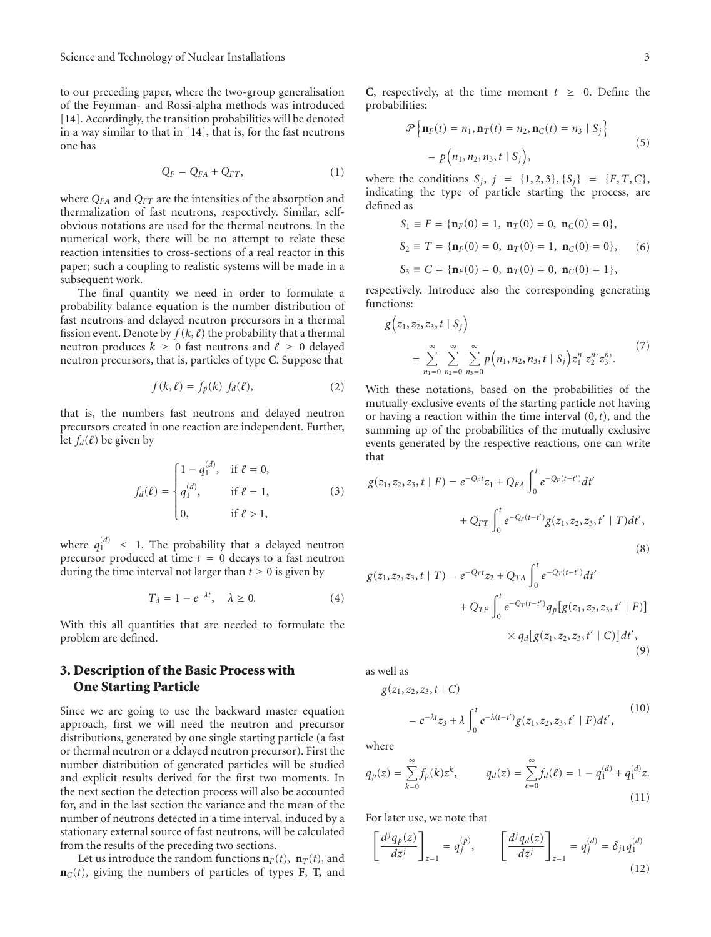to our preceding paper, where the two-group generalisation of the Feynman- and Rossi-alpha methods was introduced [14]. Accordingly, the transition probabilities will be denoted in a way similar to that in [14], that is, for the fast neutrons one has

$$
Q_F = Q_{FA} + Q_{FT}, \qquad (1)
$$

where *QFA* and *QFT* are the intensities of the absorption and thermalization of fast neutrons, respectively. Similar, selfobvious notations are used for the thermal neutrons. In the numerical work, there will be no attempt to relate these reaction intensities to cross-sections of a real reactor in this paper; such a coupling to realistic systems will be made in a subsequent work.

The final quantity we need in order to formulate a probability balance equation is the number distribution of fast neutrons and delayed neutron precursors in a thermal fission event. Denote by  $f(k, \ell)$  the probability that a thermal neutron produces  $k \geq 0$  fast neutrons and  $\ell \geq 0$  delayed neutron precursors, that is, particles of type **C**. Suppose that

$$
f(k,\ell) = f_p(k) f_d(\ell), \qquad (2)
$$

that is, the numbers fast neutrons and delayed neutron precursors created in one reaction are independent. Further, let  $f_d(\ell)$  be given by

$$
f_d(\ell) = \begin{cases} 1 - q_1^{(d)}, & \text{if } \ell = 0, \\ q_1^{(d)}, & \text{if } \ell = 1, \\ 0, & \text{if } \ell > 1, \end{cases}
$$
 (3)

where  $q_1^{(d)} \leq 1$ . The probability that a delayed neutron precursor produced at time *t* = 0 decays to a fast neutron during the time interval not larger than  $t \geq 0$  is given by

$$
T_d = 1 - e^{-\lambda t}, \quad \lambda \ge 0. \tag{4}
$$

With this all quantities that are needed to formulate the problem are defined.

# **3. Description of the Basic Process with One Starting Particle**

Since we are going to use the backward master equation approach, first we will need the neutron and precursor distributions, generated by one single starting particle (a fast or thermal neutron or a delayed neutron precursor). First the number distribution of generated particles will be studied and explicit results derived for the first two moments. In the next section the detection process will also be accounted for, and in the last section the variance and the mean of the number of neutrons detected in a time interval, induced by a stationary external source of fast neutrons, will be calculated from the results of the preceding two sections.

Let us introduce the random functions  $\mathbf{n}_F(t)$ ,  $\mathbf{n}_T(t)$ , and  $n<sub>C</sub>(t)$ , giving the numbers of particles of types **F**, **T**, and **C**, respectively, at the time moment  $t \geq 0$ . Define the probabilities:

$$
\mathcal{P}\left\{\mathbf{n}_F(t) = n_1, \mathbf{n}_T(t) = n_2, \mathbf{n}_C(t) = n_3 \mid S_j\right\}
$$

$$
= p\left(n_1, n_2, n_3, t \mid S_j\right),\tag{5}
$$

where the conditions  $S_j$ ,  $j = \{1, 2, 3\}$ ,  $\{S_j\} = \{F, T, C\}$ , indicating the type of particle starting the process, are defined as

$$
S_1 \equiv F = \{ \mathbf{n}_F(0) = 1, \ \mathbf{n}_T(0) = 0, \ \mathbf{n}_C(0) = 0 \},
$$
  
\n
$$
S_2 \equiv T = \{ \mathbf{n}_F(0) = 0, \ \mathbf{n}_T(0) = 1, \ \mathbf{n}_C(0) = 0 \},
$$
  
\n
$$
S_3 \equiv C = \{ \mathbf{n}_F(0) = 0, \ \mathbf{n}_T(0) = 0, \ \mathbf{n}_C(0) = 1 \},
$$
  
\n(6)

respectively. Introduce also the corresponding generating functions:

$$
g(z_1, z_2, z_3, t \mid S_j)
$$
  
= 
$$
\sum_{n_1=0}^{\infty} \sum_{n_2=0}^{\infty} \sum_{n_3=0}^{\infty} p(n_1, n_2, n_3, t \mid S_j) z_1^{n_1} z_2^{n_2} z_3^{n_3}.
$$
 (7)

With these notations, based on the probabilities of the mutually exclusive events of the starting particle not having or having a reaction within the time interval (0, *t*), and the summing up of the probabilities of the mutually exclusive events generated by the respective reactions, one can write that

$$
g(z_1, z_2, z_3, t | F) = e^{-Q_F t} z_1 + Q_{FA} \int_0^t e^{-Q_F (t-t')} dt' + Q_{FT} \int_0^t e^{-Q_F (t-t')} g(z_1, z_2, z_3, t' | T) dt',
$$
\n(8)

$$
g(z_1, z_2, z_3, t | T) = e^{-Q_T t} z_2 + Q_{TA} \int_0^t e^{-Q_T (t-t')} dt' + Q_{TF} \int_0^t e^{-Q_T (t-t')} q_p [g(z_1, z_2, z_3, t' | F)] × q_d [g(z_1, z_2, z_3, t' | C)] dt',
$$
\n(9)

as well as

$$
g(z_1, z_2, z_3, t \mid C)
$$
  
=  $e^{-\lambda t} z_3 + \lambda \int_0^t e^{-\lambda(t-t')} g(z_1, z_2, z_3, t' \mid F) dt',$  (10)

where

$$
q_p(z) = \sum_{k=0}^{\infty} f_p(k) z^k, \qquad q_d(z) = \sum_{\ell=0}^{\infty} f_d(\ell) = 1 - q_1^{(d)} + q_1^{(d)} z.
$$
\n(11)

For later use, we note that

$$
\left[\frac{d^j q_p(z)}{dz^j}\right]_{z=1} = q_j^{(p)}, \qquad \left[\frac{d^j q_d(z)}{dz^j}\right]_{z=1} = q_j^{(d)} = \delta_{j1} q_1^{(d)}
$$
\n(12)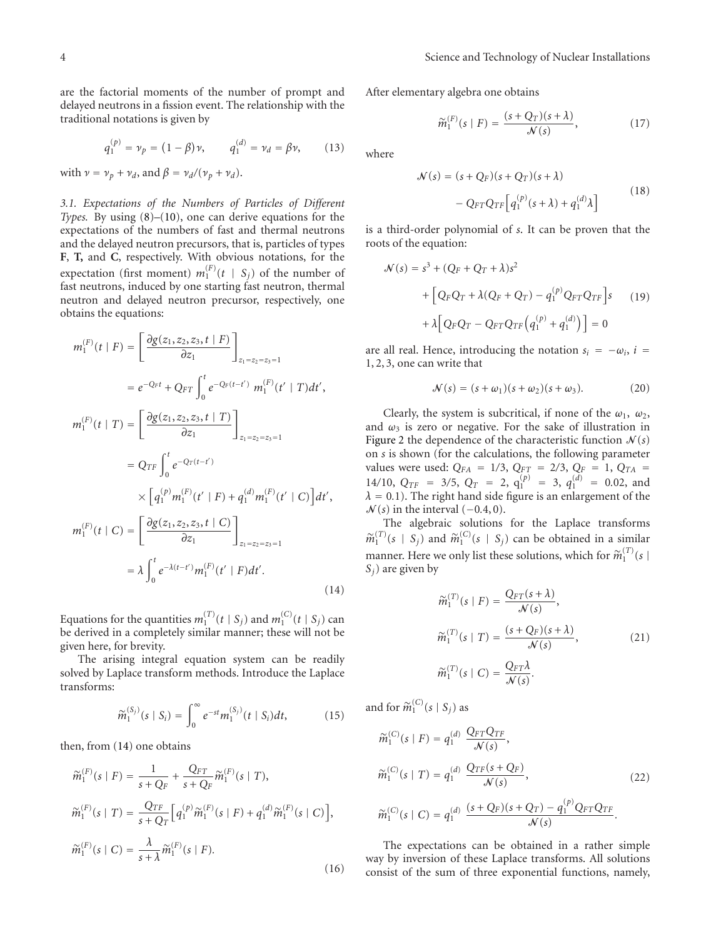are the factorial moments of the number of prompt and delayed neutrons in a fission event. The relationship with the traditional notations is given by

$$
q_1^{(p)} = \nu_p = (1 - \beta)\nu, \qquad q_1^{(d)} = \nu_d = \beta\nu,
$$
 (13)

with  $\nu = \nu_p + \nu_d$ , and  $\beta = \nu_d/(\nu_p + \nu_d)$ .

*3.1. Expectations of the Numbers of Particles of Different Types.* By using  $(8)$ – $(10)$ , one can derive equations for the expectations of the numbers of fast and thermal neutrons and the delayed neutron precursors, that is, particles of types **F**, **T,** and **C**, respectively. With obvious notations, for the expectation (first moment)  $m_1^{(F)}(t | S_j)$  of the number of fast neutrons, induced by one starting fast neutron, thermal neutron and delayed neutron precursor, respectively, one obtains the equations:

$$
m_1^{(F)}(t | F) = \left[\frac{\partial g(z_1, z_2, z_3, t | F)}{\partial z_1}\right]_{z_1 = z_2 = z_3 = 1}
$$
  
\n
$$
= e^{-Q_F t} + Q_{FT} \int_0^t e^{-Q_F(t - t')} m_1^{(F)}(t' | T) dt',
$$
  
\n
$$
m_1^{(F)}(t | T) = \left[\frac{\partial g(z_1, z_2, z_3, t | T)}{\partial z_1}\right]_{z_1 = z_2 = z_3 = 1}
$$
  
\n
$$
= Q_{TF} \int_0^t e^{-Q_T(t - t')} \times \left[q_1^{(p)} m_1^{(F)}(t' | F) + q_1^{(d)} m_1^{(F)}(t' | C)\right] dt',
$$
  
\n
$$
m_1^{(F)}(t | C) = \left[\frac{\partial g(z_1, z_2, z_3, t | C)}{\partial z_1}\right]_{z_1 = z_2 = z_3 = 1}
$$
  
\n
$$
= \lambda \int_0^t e^{-\lambda(t - t')} m_1^{(F)}(t' | F) dt'.
$$
\n(14)

Equations for the quantities  $m_1^{(T)}(t | S_j)$  and  $m_1^{(C)}(t | S_j)$  can be derived in a completely similar manner; these will not be given here, for brevity.

The arising integral equation system can be readily solved by Laplace transform methods. Introduce the Laplace transforms:

$$
\widetilde{m}_1^{(S_j)}(s \mid S_i) = \int_0^\infty e^{-st} m_1^{(S_j)}(t \mid S_i) dt, \tag{15}
$$

then, from (14) one obtains

$$
\widetilde{m}_{1}^{(F)}(s \mid F) = \frac{1}{s + Q_{F}} + \frac{Q_{FT}}{s + Q_{F}} \widetilde{m}_{1}^{(F)}(s \mid T),
$$
\n
$$
\widetilde{m}_{1}^{(F)}(s \mid T) = \frac{Q_{TF}}{s + Q_{T}} \Big[ q_{1}^{(p)} \widetilde{m}_{1}^{(F)}(s \mid F) + q_{1}^{(d)} \widetilde{m}_{1}^{(F)}(s \mid C) \Big],
$$
\n
$$
\widetilde{m}_{1}^{(F)}(s \mid C) = \frac{\lambda}{s + \lambda} \widetilde{m}_{1}^{(F)}(s \mid F).
$$
\n(16)

After elementary algebra one obtains

$$
\widetilde{m}_1^{(F)}(s \mid F) = \frac{(s + Q_T)(s + \lambda)}{\mathcal{N}(s)},\tag{17}
$$

where

$$
\mathcal{N}(s) = (s + Q_F)(s + Q_T)(s + \lambda)
$$

$$
- Q_{FT} Q_{TF} \left[ q_1^{(p)}(s + \lambda) + q_1^{(d)} \lambda \right]
$$
(18)

is a third-order polynomial of *s*. It can be proven that the roots of the equation:

$$
\mathcal{N}(s) = s^3 + (Q_F + Q_T + \lambda)s^2
$$
  
+  $\left[Q_FQ_T + \lambda(Q_F + Q_T) - q_1^{(p)}Q_{FT}Q_{TF}\right]s$  (19)  
+  $\lambda \left[Q_FQ_T - Q_{FT}Q_{TF}\left(q_1^{(p)} + q_1^{(d)}\right)\right] = 0$ 

are all real. Hence, introducing the notation  $s_i = -\omega_i$ ,  $i =$ 1, 2, 3, one can write that

$$
\mathcal{N}(s) = (s + \omega_1)(s + \omega_2)(s + \omega_3). \tag{20}
$$

Clearly, the system is subcritical, if none of the  $\omega_1$ ,  $\omega_2$ , and  $\omega_3$  is zero or negative. For the sake of illustration in Figure 2 the dependence of the characteristic function  $\mathcal{N}(s)$ on *s* is shown (for the calculations, the following parameter values were used:  $Q_{FA} = 1/3$ ,  $Q_{FT} = 2/3$ ,  $Q_F = 1$ ,  $Q_{TA} =$ 14/10,  $Q_{TF} = 3/5$ ,  $Q_T = 2$ ,  $q_1^{(p)} = 3$ ,  $q_1^{(d)} = 0.02$ , and  $\lambda = 0.1$ ). The right hand side figure is an enlargement of the *N*(*s*) in the interval (−0.4, 0).

The algebraic solutions for the Laplace transforms  $\widetilde{m}_1^{(T)}(s \mid S_j)$  and  $\widetilde{m}_1^{(C)}(s \mid S_j)$  can be obtained in a similar manner. Here we only list these solutions, which for  $\widetilde{m}_1^{(T)}(s \mid S_1)$  are given by *Sj*) are given by

$$
\widetilde{m}_1^{(T)}(s \mid F) = \frac{Q_{FT}(s + \lambda)}{\mathcal{N}(s)},
$$
\n
$$
\widetilde{m}_1^{(T)}(s \mid T) = \frac{(s + Q_F)(s + \lambda)}{\mathcal{N}(s)},
$$
\n
$$
\widetilde{m}_1^{(T)}(s \mid C) = \frac{Q_{FT}\lambda}{\mathcal{N}(s)}.
$$
\n(21)

and for  $\widetilde{m}_1^{(C)}(s \mid S_j)$  as

$$
\widetilde{m}_1^{(C)}(s \mid F) = q_1^{(d)} \frac{Q_{FT} Q_{TF}}{N(s)},
$$
\n
$$
\widetilde{m}_1^{(C)}(s \mid T) = q_1^{(d)} \frac{Q_{TF}(s + Q_F)}{N(s)},
$$
\n(22)

$$
\widetilde{m}_1^{(C)}(s \mid C) = q_1^{(d)} \frac{(s + Q_F)(s + Q_T) - q_1^{(P)}Q_{FT}Q_{TF}}{\mathcal{N}(s)}.
$$

The expectations can be obtained in a rather simple way by inversion of these Laplace transforms. All solutions consist of the sum of three exponential functions, namely,

$$
(16)
$$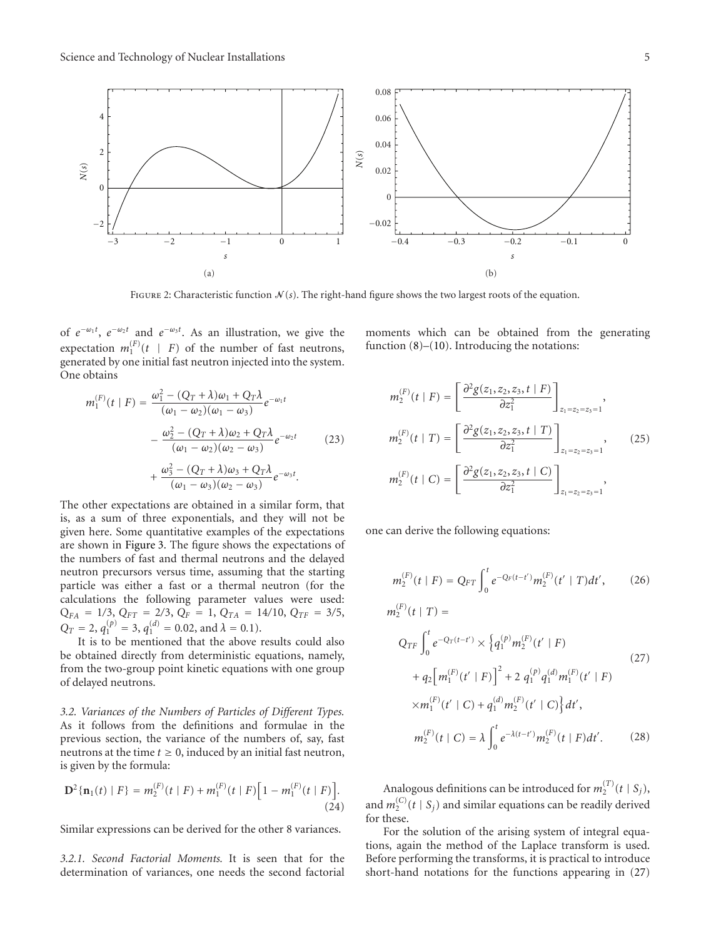

FIGURE 2: Characteristic function  $\mathcal{N}(s)$ . The right-hand figure shows the two largest roots of the equation.

of *e*<sup>−</sup>*ω*1*<sup>t</sup>* , *e*<sup>−</sup>*ω*2*<sup>t</sup>* and *e*<sup>−</sup>*ω*3*<sup>t</sup>* . As an illustration, we give the expectation  $m_1^{(F)}(t \mid F)$  of the number of fast neutrons, generated by one initial fast neutron injected into the system. One obtains

$$
m_1^{(F)}(t \mid F) = \frac{\omega_1^2 - (Q_T + \lambda)\omega_1 + Q_T\lambda}{(\omega_1 - \omega_2)(\omega_1 - \omega_3)} e^{-\omega_1 t} - \frac{\omega_2^2 - (Q_T + \lambda)\omega_2 + Q_T\lambda}{(\omega_1 - \omega_2)(\omega_2 - \omega_3)} e^{-\omega_2 t}
$$
(23)

$$
+\frac{\omega_3^2-(Q_T+\lambda)\omega_3+Q_T\lambda}{(\omega_1-\omega_3)(\omega_2-\omega_3)}e^{-\omega_3t}.
$$

The other expectations are obtained in a similar form, that is, as a sum of three exponentials, and they will not be given here. Some quantitative examples of the expectations are shown in Figure 3. The figure shows the expectations of the numbers of fast and thermal neutrons and the delayed neutron precursors versus time, assuming that the starting particle was either a fast or a thermal neutron (for the calculations the following parameter values were used:  $Q_{FA} = 1/3$ ,  $Q_{FT} = 2/3$ ,  $Q_F = 1$ ,  $Q_{TA} = 14/10$ ,  $Q_{TF} = 3/5$ ,  $Q_T = 2$ ,  $q_1^{(p)} = 3$ ,  $q_1^{(d)} = 0.02$ , and  $\lambda = 0.1$ ).

It is to be mentioned that the above results could also be obtained directly from deterministic equations, namely, from the two-group point kinetic equations with one group of delayed neutrons.

*3.2. Variances of the Numbers of Particles of Different Types.* As it follows from the definitions and formulae in the previous section, the variance of the numbers of, say, fast neutrons at the time  $t \geq 0$ , induced by an initial fast neutron, is given by the formula:

$$
\mathbf{D}^{2}\{\mathbf{n}_{1}(t) \mid F\} = m_{2}^{(F)}(t \mid F) + m_{1}^{(F)}(t \mid F)\Big[1 - m_{1}^{(F)}(t \mid F)\Big].
$$
\n(24)

Similar expressions can be derived for the other 8 variances.

*3.2.1. Second Factorial Moments.* It is seen that for the determination of variances, one needs the second factorial moments which can be obtained from the generating function  $(8)$ – $(10)$ . Introducing the notations:

$$
m_2^{(F)}(t \mid F) = \left[\frac{\partial^2 g(z_1, z_2, z_3, t \mid F)}{\partial z_1^2}\right]_{z_1 = z_2 = z_3 = 1},
$$
  
\n
$$
m_2^{(F)}(t \mid T) = \left[\frac{\partial^2 g(z_1, z_2, z_3, t \mid T)}{\partial z_1^2}\right]_{z_1 = z_2 = z_3 = 1},
$$
  
\n
$$
m_2^{(F)}(t \mid C) = \left[\frac{\partial^2 g(z_1, z_2, z_3, t \mid C)}{\partial z_1^2}\right]_{z_1 = z_2 = z_3 = 1},
$$
  
\n(25)

one can derive the following equations:

$$
m_2^{(F)}(t \mid F) = Q_{FT} \int_0^t e^{-Q_F(t-t')} m_2^{(F)}(t' \mid T) dt', \qquad (26)
$$

$$
m_2^{(F)}(t | T) =
$$
  
\n
$$
Q_{TF} \int_0^t e^{-Q_T(t-t')} \times \left\{ q_1^{(p)} m_2^{(F)}(t' | F) + q_2 \left[ m_1^{(F)}(t' | F) \right]^2 + 2 q_1^{(p)} q_1^{(d)} m_1^{(F)}(t' | F) \right\}
$$
  
\n
$$
\times m_1^{(F)}(t' | C) + q_1^{(d)} m_2^{(F)}(t' | C) \left\} dt',
$$
  
\n
$$
m_2^{(F)}(t | C) = \lambda \int_0^t e^{-\lambda(t-t')} m_2^{(F)}(t | F) dt'. \qquad (28)
$$

Analogous definitions can be introduced for  $m_2^{(T)}(t | S_j)$ , and  $m_2^{(C)}(t | S_j)$  and similar equations can be readily derived for these.

For the solution of the arising system of integral equations, again the method of the Laplace transform is used. Before performing the transforms, it is practical to introduce short-hand notations for the functions appearing in (27)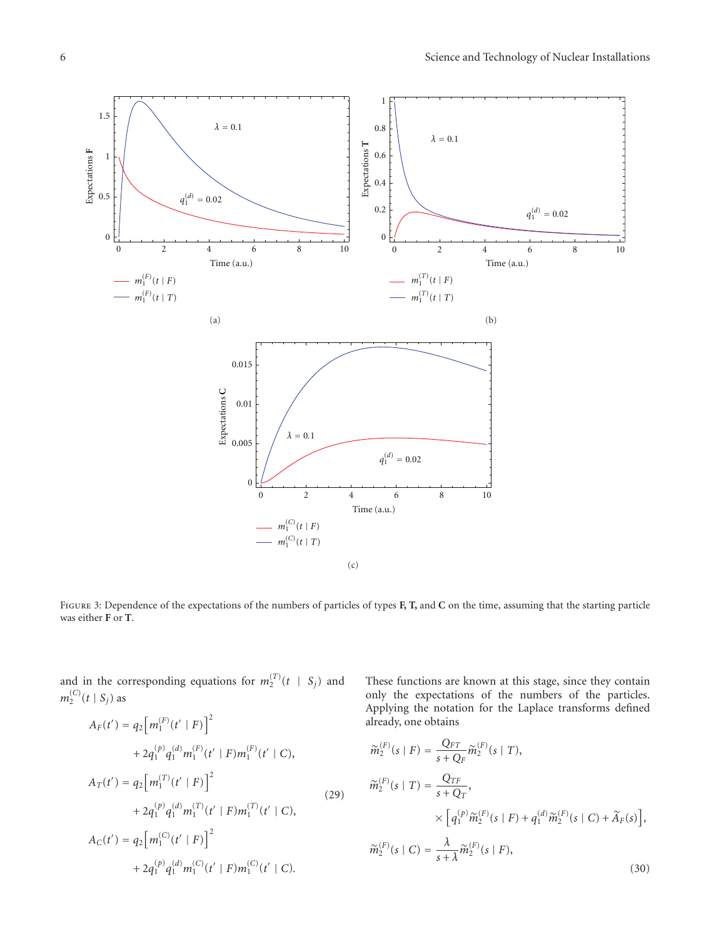

Figure 3: Dependence of the expectations of the numbers of particles of types **F, T,** and **C** on the time, assuming that the starting particle was either **F** or **T**.

and in the corresponding equations for  $m_2^{(T)}(t \mid S_j)$  and  $m_2^{(C)}(t | S_j)$  as

$$
A_F(t') = q_2 \Big[ m_1^{(F)}(t' | F) \Big]^2
$$
  
+  $2q_1^{(p)} q_1^{(d)} m_1^{(F)}(t' | F) m_1^{(F)}(t' | C),$   

$$
A_T(t') = q_2 \Big[ m_1^{(T)}(t' | F) \Big]^2
$$
  
+  $2q_1^{(p)} q_1^{(d)} m_1^{(T)}(t' | F) m_1^{(T)}(t' | C),$   

$$
A_C(t') = q_2 \Big[ m_1^{(C)}(t' | F) \Big]^2
$$
  
+  $2q_1^{(p)} q_1^{(d)} m_1^{(C)}(t' | F) m_1^{(C)}(t' | C).$  (1)

These functions are known at this stage, since they contain only the expectations of the numbers of the particles. Applying the notation for the Laplace transforms defined already, one obtains

$$
\widetilde{m}_{2}^{(F)}(s \mid F) = \frac{Q_{FT}}{s + Q_{F}} \widetilde{m}_{2}^{(F)}(s \mid T), \n\widetilde{m}_{2}^{(F)}(s \mid T) = \frac{Q_{TF}}{s + Q_{T}}, \n\times \left[ q_{1}^{(p)} \widetilde{m}_{2}^{(F)}(s \mid F) + q_{1}^{(d)} \widetilde{m}_{2}^{(F)}(s \mid C) + \widetilde{A}_{F}(s) \right], \n\widetilde{m}_{2}^{(F)}(s \mid C) = \frac{\lambda}{s + \lambda} \widetilde{m}_{2}^{(F)}(s \mid F),
$$
\n(30)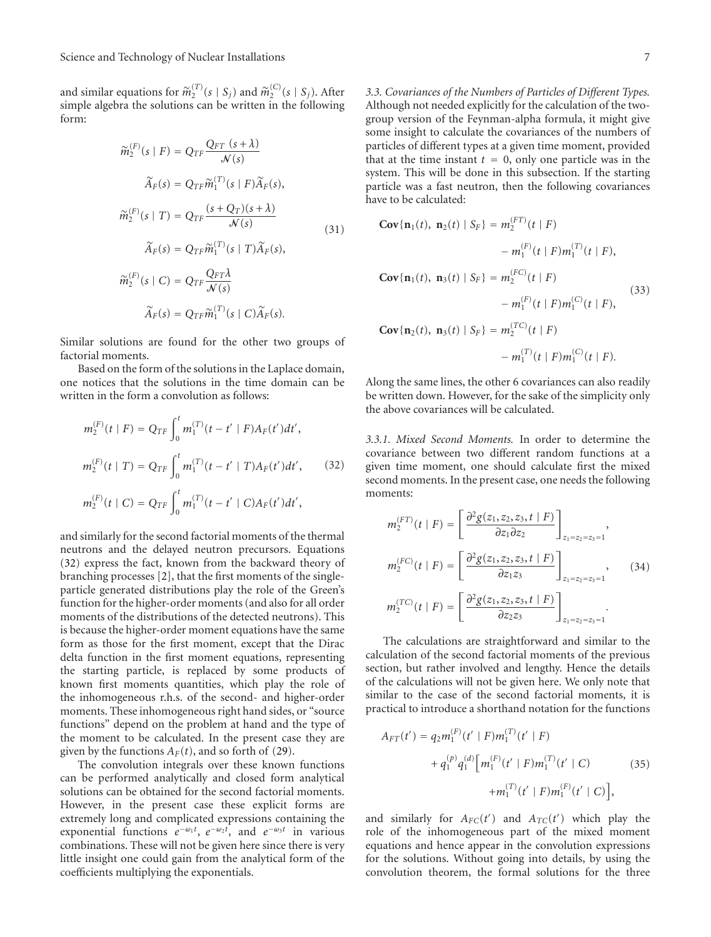and similar equations for  $\widetilde{m}_{2}^{(T)}(s \mid S_{j})$  and  $\widetilde{m}_{2}^{(C)}(s \mid S_{j})$ . After<br>simple algebra the solutions can be written in the following simple algebra the solutions can be written in the following form:

$$
\widetilde{m}_2^{(F)}(s \mid F) = Q_{TF} \frac{Q_{FT}(s+\lambda)}{\mathcal{N}(s)}
$$
\n
$$
\widetilde{A}_F(s) = Q_{TF} \widetilde{m}_1^{(T)}(s \mid F) \widetilde{A}_F(s),
$$
\n
$$
\widetilde{m}_2^{(F)}(s \mid T) = Q_{TF} \frac{(s + Q_T)(s + \lambda)}{\mathcal{N}(s)}
$$
\n
$$
\widetilde{A}_F(s) = Q_{TF} \widetilde{m}_1^{(T)}(s \mid T) \widetilde{A}_F(s),
$$
\n
$$
\widetilde{m}_2^{(F)}(s \mid C) = Q_{TF} \frac{Q_{FT}\lambda}{\mathcal{N}(s)}
$$
\n
$$
\widetilde{A}_F(s) = Q_{TF} \widetilde{m}_1^{(T)}(s \mid C) \widetilde{A}_F(s).
$$
\n(31)

Similar solutions are found for the other two groups of factorial moments.

Based on the form of the solutions in the Laplace domain, one notices that the solutions in the time domain can be written in the form a convolution as follows:

$$
m_2^{(F)}(t \mid F) = Q_{TF} \int_0^t m_1^{(T)}(t - t' \mid F) A_F(t') dt',
$$
  

$$
m_2^{(F)}(t \mid T) = Q_{TF} \int_0^t m_1^{(T)}(t - t' \mid T) A_F(t') dt',
$$
 (32)

$$
m_2^{(F)}(t \mid C) = Q_{TF} \int_0^t m_1^{(T)}(t - t' \mid C) A_F(t') dt',
$$

and similarly for the second factorial moments of the thermal neutrons and the delayed neutron precursors. Equations (32) express the fact, known from the backward theory of branching processes [2], that the first moments of the singleparticle generated distributions play the role of the Green's function for the higher-order moments (and also for all order moments of the distributions of the detected neutrons). This is because the higher-order moment equations have the same form as those for the first moment, except that the Dirac delta function in the first moment equations, representing the starting particle, is replaced by some products of known first moments quantities, which play the role of the inhomogeneous r.h.s. of the second- and higher-order moments. These inhomogeneous right hand sides, or "source functions" depend on the problem at hand and the type of the moment to be calculated. In the present case they are given by the functions  $A_F(t)$ , and so forth of (29).

The convolution integrals over these known functions can be performed analytically and closed form analytical solutions can be obtained for the second factorial moments. However, in the present case these explicit forms are extremely long and complicated expressions containing the exponential functions *e*<sup>−</sup>*ω*1*<sup>t</sup>* , *e*<sup>−</sup>*ω*2*<sup>t</sup>* , and *e*<sup>−</sup>*ω*3*<sup>t</sup>* in various combinations. These will not be given here since there is very little insight one could gain from the analytical form of the coefficients multiplying the exponentials.

*3.3. Covariances of the Numbers of Particles of Different Types.* Although not needed explicitly for the calculation of the twogroup version of the Feynman-alpha formula, it might give some insight to calculate the covariances of the numbers of particles of different types at a given time moment, provided that at the time instant  $t = 0$ , only one particle was in the system. This will be done in this subsection. If the starting particle was a fast neutron, then the following covariances have to be calculated:

$$
\begin{aligned}\n\text{Cov}\{\mathbf{n}_1(t), \ \mathbf{n}_2(t) \mid S_F\} &= m_2^{(FT)}(t \mid F) \\
&- m_1^{(F)}(t \mid F) m_1^{(T)}(t \mid F), \\
\text{Cov}\{\mathbf{n}_1(t), \ \mathbf{n}_3(t) \mid S_F\} &= m_2^{(FC)}(t \mid F) \\
&- m_1^{(F)}(t \mid F) m_1^{(C)}(t \mid F), \\
\text{Cov}\{\mathbf{n}_2(t), \ \mathbf{n}_3(t) \mid S_F\} &= m_2^{(TC)}(t \mid F) \\
&- m_1^{(T)}(t \mid F) m_1^{(C)}(t \mid F).\n\end{aligned}\n\tag{33}
$$

Along the same lines, the other 6 covariances can also readily be written down. However, for the sake of the simplicity only the above covariances will be calculated.

*3.3.1. Mixed Second Moments.* In order to determine the covariance between two different random functions at a given time moment, one should calculate first the mixed second moments. In the present case, one needs the following moments:

$$
m_2^{(FT)}(t \mid F) = \left[\frac{\partial^2 g(z_1, z_2, z_3, t \mid F)}{\partial z_1 \partial z_2}\right]_{z_1 = z_2 = z_3 = 1},
$$
  
\n
$$
m_2^{(FC)}(t \mid F) = \left[\frac{\partial^2 g(z_1, z_2, z_3, t \mid F)}{\partial z_1 z_3}\right]_{z_1 = z_2 = z_3 = 1},
$$
  
\n
$$
m_2^{(TC)}(t \mid F) = \left[\frac{\partial^2 g(z_1, z_2, z_3, t \mid F)}{\partial z_2 z_3}\right]_{z_1 = z_2 = z_3 = 1}.
$$
  
\n(34)

The calculations are straightforward and similar to the calculation of the second factorial moments of the previous section, but rather involved and lengthy. Hence the details of the calculations will not be given here. We only note that similar to the case of the second factorial moments, it is practical to introduce a shorthand notation for the functions

$$
A_{FT}(t') = q_2 m_1^{(F)}(t' | F) m_1^{(T)}(t' | F)
$$
  
+  $q_1^{(p)} q_1^{(d)} [m_1^{(F)}(t' | F) m_1^{(T)}(t' | C)$  (35)  
+  $m_1^{(T)}(t' | F) m_1^{(F)}(t' | C)$ ,

and similarly for  $A_{FC}(t')$  and  $A_{TC}(t')$  which play the role of the inhomogeneous part of the mixed moment equations and hence appear in the convolution expressions for the solutions. Without going into details, by using the convolution theorem, the formal solutions for the three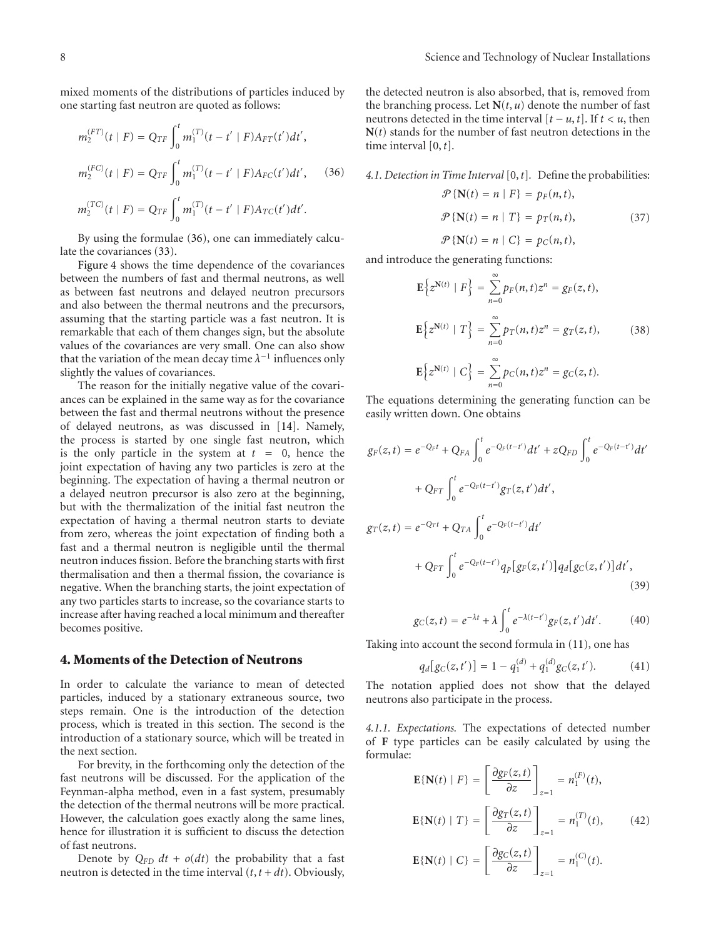mixed moments of the distributions of particles induced by one starting fast neutron are quoted as follows:

$$
m_2^{(FT)}(t \mid F) = Q_{TF} \int_0^t m_1^{(T)}(t - t' \mid F) A_{FT}(t') dt',
$$
  

$$
m_2^{(FC)}(t \mid F) = Q_{TF} \int_0^t m_1^{(T)}(t - t' \mid F) A_{FC}(t') dt', \qquad (36)
$$
  

$$
m_2^{(TC)}(t \mid F) = Q_{TF} \int_0^t m_1^{(T)}(t - t' \mid F) A_{TC}(t') dt'.
$$

By using the formulae (36), one can immediately calculate the covariances (33).

Figure 4 shows the time dependence of the covariances between the numbers of fast and thermal neutrons, as well as between fast neutrons and delayed neutron precursors and also between the thermal neutrons and the precursors, assuming that the starting particle was a fast neutron. It is remarkable that each of them changes sign, but the absolute values of the covariances are very small. One can also show that the variation of the mean decay time  $\lambda^{-1}$  influences only slightly the values of covariances.

The reason for the initially negative value of the covariances can be explained in the same way as for the covariance between the fast and thermal neutrons without the presence of delayed neutrons, as was discussed in [14]. Namely, the process is started by one single fast neutron, which is the only particle in the system at  $t = 0$ , hence the joint expectation of having any two particles is zero at the beginning. The expectation of having a thermal neutron or a delayed neutron precursor is also zero at the beginning, but with the thermalization of the initial fast neutron the expectation of having a thermal neutron starts to deviate from zero, whereas the joint expectation of finding both a fast and a thermal neutron is negligible until the thermal neutron induces fission. Before the branching starts with first thermalisation and then a thermal fission, the covariance is negative. When the branching starts, the joint expectation of any two particles starts to increase, so the covariance starts to increase after having reached a local minimum and thereafter becomes positive.

#### **4. Moments of the Detection of Neutrons**

In order to calculate the variance to mean of detected particles, induced by a stationary extraneous source, two steps remain. One is the introduction of the detection process, which is treated in this section. The second is the introduction of a stationary source, which will be treated in the next section.

For brevity, in the forthcoming only the detection of the fast neutrons will be discussed. For the application of the Feynman-alpha method, even in a fast system, presumably the detection of the thermal neutrons will be more practical. However, the calculation goes exactly along the same lines, hence for illustration it is sufficient to discuss the detection of fast neutrons.

Denote by  $Q_{FD} dt + o(dt)$  the probability that a fast neutron is detected in the time interval  $(t, t + dt)$ . Obviously,

the detected neutron is also absorbed, that is, removed from the branching process. Let  $N(t, u)$  denote the number of fast neutrons detected in the time interval  $[t - u, t]$ . If  $t < u$ , then **N**(*t*) stands for the number of fast neutron detections in the time interval [0,*t*].

#### *4.1. Detection in Time Interval*[0,*t*]*.* Define the probabilities:

$$
\mathcal{P}\left\{\mathbf{N}(t) = n \mid F\right\} = p_F(n, t),
$$
  

$$
\mathcal{P}\left\{\mathbf{N}(t) = n \mid T\right\} = p_T(n, t),
$$
  

$$
\mathcal{P}\left\{\mathbf{N}(t) = n \mid C\right\} = p_C(n, t),
$$
 (37)

and introduce the generating functions:

$$
\mathbf{E}\Big\{z^{\mathbf{N}(t)} | F\Big\} = \sum_{n=0}^{\infty} p_F(n, t) z^n = g_F(z, t),
$$
  

$$
\mathbf{E}\Big\{z^{\mathbf{N}(t)} | T\Big\} = \sum_{n=0}^{\infty} p_T(n, t) z^n = g_T(z, t),
$$
(38)  

$$
\mathbf{E}\Big\{z^{\mathbf{N}(t)} | C\Big\} = \sum_{n=0}^{\infty} p_C(n, t) z^n = g_C(z, t).
$$

The equations determining the generating function can be easily written down. One obtains

$$
g_F(z,t) = e^{-Q_F t} + Q_{FA} \int_0^t e^{-Q_F (t-t')} dt' + z Q_{FD} \int_0^t e^{-Q_F (t-t')} dt'
$$
  
+  $Q_{FT} \int_0^t e^{-Q_F (t-t')} g_T(z,t') dt',$   

$$
g_T(z,t) = e^{-Q_T t} + Q_{TA} \int_0^t e^{-Q_F (t-t')} dt'
$$
  
+  $Q_{FT} \int_0^t e^{-Q_F (t-t')} q_p [g_F(z,t')] q_d [g_C(z,t')] dt',$  (39)

$$
g_C(z,t) = e^{-\lambda t} + \lambda \int_0^t e^{-\lambda(t-t')} g_F(z,t') dt'.
$$
 (40)

Taking into account the second formula in (11), one has

$$
q_d[g_C(z, t')] = 1 - q_1^{(d)} + q_1^{(d)}g_C(z, t'). \tag{41}
$$

The notation applied does not show that the delayed neutrons also participate in the process.

*4.1.1. Expectations.* The expectations of detected number of **F** type particles can be easily calculated by using the formulae:

$$
\mathbf{E}\{\mathbf{N}(t) \mid F\} = \left[\frac{\partial g_F(z, t)}{\partial z}\right]_{z=1} = n_1^{(F)}(t),
$$
\n
$$
\mathbf{E}\{\mathbf{N}(t) \mid T\} = \left[\frac{\partial g_T(z, t)}{\partial z}\right]_{z=1} = n_1^{(T)}(t), \qquad (42)
$$
\n
$$
\mathbf{E}\{\mathbf{N}(t) \mid C\} = \left[\frac{\partial g_C(z, t)}{\partial z}\right]_{z=1} = n_1^{(C)}(t).
$$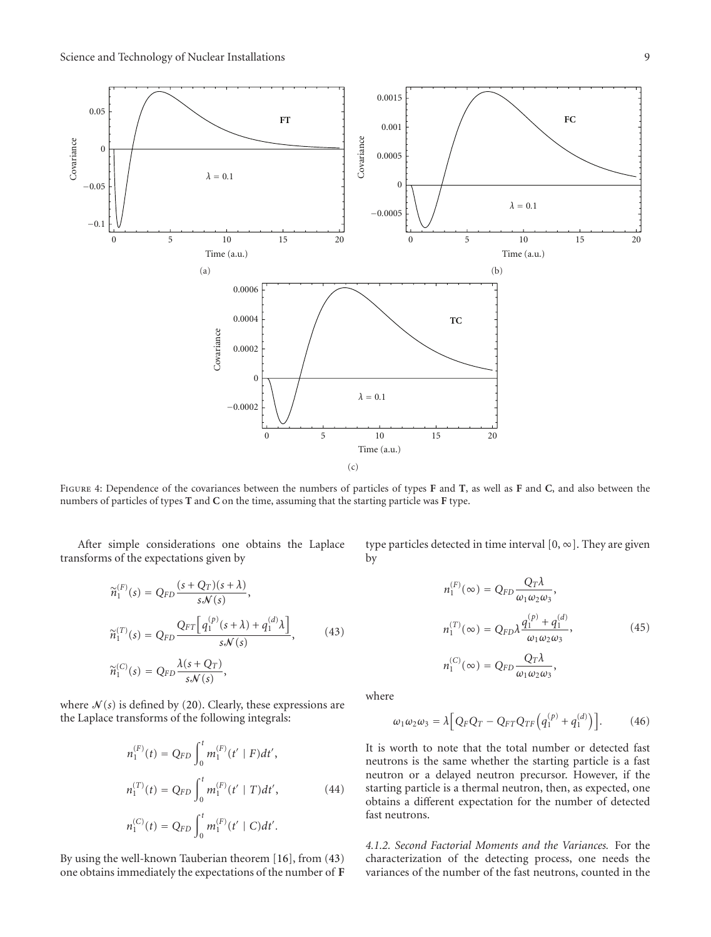

Figure 4: Dependence of the covariances between the numbers of particles of types **F** and **T**, as well as **F** and **C**, and also between the numbers of particles of types **T** and **C** on the time, assuming that the starting particle was **F** type.

After simple considerations one obtains the Laplace transforms of the expectations given by

$$
\widetilde{n}_1^{(F)}(s) = Q_{FD} \frac{(s + Q_T)(s + \lambda)}{s \mathcal{N}(s)},
$$
\n
$$
\widetilde{n}_1^{(T)}(s) = Q_{FD} \frac{Q_{FT}\left[q_1^{(p)}(s + \lambda) + q_1^{(d)}\lambda\right]}{s \mathcal{N}(s)},
$$
\n
$$
\widetilde{n}_1^{(C)}(s) = Q_{FD} \frac{\lambda(s + Q_T)}{s \mathcal{N}(s)},
$$
\n(43)

where  $\mathcal{N}(s)$  is defined by (20). Clearly, these expressions are the Laplace transforms of the following integrals:

$$
n_1^{(F)}(t) = Q_{FD} \int_0^t m_1^{(F)}(t' | F) dt',
$$
  
\n
$$
n_1^{(T)}(t) = Q_{FD} \int_0^t m_1^{(F)}(t' | T) dt',
$$
  
\n
$$
n_1^{(C)}(t) = Q_{FD} \int_0^t m_1^{(F)}(t' | C) dt'.
$$
\n(44)

By using the well-known Tauberian theorem [16], from (43) one obtains immediately the expectations of the number of **F** type particles detected in time interval  $[0, \infty]$ . They are given by

$$
n_1^{(F)}(\infty) = Q_{FD} \frac{Q_T \lambda}{\omega_1 \omega_2 \omega_3},
$$
  
\n
$$
n_1^{(T)}(\infty) = Q_{FD} \lambda \frac{q_1^{(p)} + q_1^{(d)}}{\omega_1 \omega_2 \omega_3},
$$
  
\n
$$
n_1^{(C)}(\infty) = Q_{FD} \frac{Q_T \lambda}{\omega_1 \omega_2 \omega_3},
$$
\n(45)

where

$$
\omega_1 \omega_2 \omega_3 = \lambda \Big[ Q_F Q_T - Q_{FT} Q_{TF} \Big( q_1^{(p)} + q_1^{(d)} \Big) \Big]. \tag{46}
$$

It is worth to note that the total number or detected fast neutrons is the same whether the starting particle is a fast neutron or a delayed neutron precursor. However, if the starting particle is a thermal neutron, then, as expected, one obtains a different expectation for the number of detected fast neutrons.

*4.1.2. Second Factorial Moments and the Variances.* For the characterization of the detecting process, one needs the variances of the number of the fast neutrons, counted in the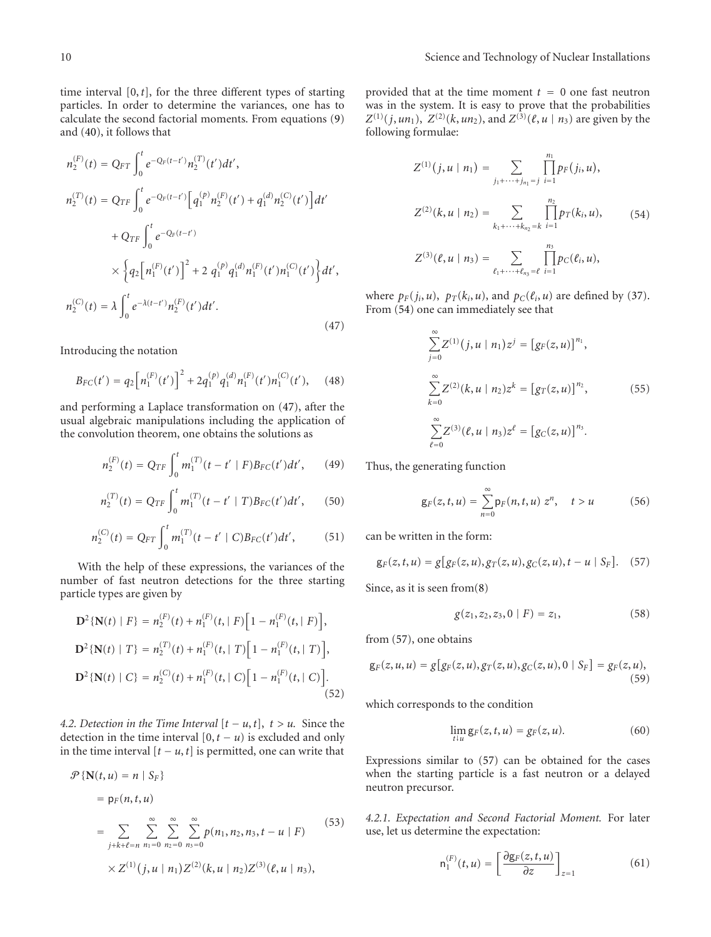time interval [0,*t*], for the three different types of starting particles. In order to determine the variances, one has to calculate the second factorial moments. From equations (9) and (40), it follows that

$$
n_2^{(F)}(t) = Q_{FT} \int_0^t e^{-Q_F(t-t')} n_2^{(T)}(t') dt',
$$
  
\n
$$
n_2^{(T)}(t) = Q_{TF} \int_0^t e^{-Q_F(t-t')} \Big[ q_1^{(p)} n_2^{(F)}(t') + q_1^{(d)} n_2^{(C)}(t') \Big] dt'
$$
  
\n
$$
+ Q_{TF} \int_0^t e^{-Q_F(t-t')} \times \Big\{ q_2 \Big[ n_1^{(F)}(t') \Big]^2 + 2 q_1^{(p)} q_1^{(d)} n_1^{(F)}(t') n_1^{(C)}(t') \Big\} dt',
$$
  
\n
$$
n_2^{(C)}(t) = \lambda \int_0^t e^{-\lambda(t-t')} n_2^{(F)}(t') dt'.
$$
\n(47)

Introducing the notation

$$
B_{FC}(t') = q_2 \left[ n_1^{(F)}(t') \right]^2 + 2q_1^{(p)} q_1^{(d)} n_1^{(F)}(t') n_1^{(C)}(t'), \quad (48)
$$

and performing a Laplace transformation on (47), after the usual algebraic manipulations including the application of the convolution theorem, one obtains the solutions as

$$
n_2^{(F)}(t) = Q_{TF} \int_0^t m_1^{(T)}(t - t' | F) B_{FC}(t') dt', \qquad (49)
$$

$$
n_2^{(T)}(t) = Q_{TF} \int_0^t m_1^{(T)}(t - t' | T) B_{FC}(t') dt', \qquad (50)
$$

$$
n_2^{(C)}(t) = Q_{FT} \int_0^t m_1^{(T)}(t - t' | C) B_{FC}(t') dt', \qquad (51)
$$

With the help of these expressions, the variances of the number of fast neutron detections for the three starting particle types are given by

$$
\mathbf{D}^{2}\{\mathbf{N}(t) | F\} = n_{2}^{(F)}(t) + n_{1}^{(F)}(t, | F) \Big[1 - n_{1}^{(F)}(t, | F)\Big],
$$
  
\n
$$
\mathbf{D}^{2}\{\mathbf{N}(t) | T\} = n_{2}^{(T)}(t) + n_{1}^{(F)}(t, | T) \Big[1 - n_{1}^{(F)}(t, | T)\Big],
$$
  
\n
$$
\mathbf{D}^{2}\{\mathbf{N}(t) | C\} = n_{2}^{(C)}(t) + n_{1}^{(F)}(t, | C) \Big[1 - n_{1}^{(F)}(t, | C)\Big].
$$
  
\n(52)

*4.2. Detection in the Time Interval*  $[t - u, t]$ ,  $t > u$ *.* Since the detection in the time interval  $[0, t - u)$  is excluded and only in the time interval  $[t - u, t]$  is permitted, one can write that

$$
\mathcal{P}\{\mathbf{N}(t, u) = n | S_F\} \n= p_F(n, t, u) \n= \sum_{j+k+\ell=n} \sum_{n_1=0}^{\infty} \sum_{n_2=0}^{\infty} \sum_{n_3=0}^{\infty} p(n_1, n_2, n_3, t - u | F) \n\times Z^{(1)}(j, u | n_1) Z^{(2)}(k, u | n_2) Z^{(3)}(\ell, u | n_3),
$$
\n(53)

provided that at the time moment  $t = 0$  one fast neutron was in the system. It is easy to prove that the probabilities  $Z^{(1)}(j, un_1)$ ,  $Z^{(2)}(k, un_2)$ , and  $Z^{(3)}(\ell, u | n_3)$  are given by the following formulae:

$$
Z^{(1)}(j, u \mid n_1) = \sum_{j_1 + \dots + j_{n_1} = j} \prod_{i=1}^{n_1} p_F(j_i, u),
$$
  
\n
$$
Z^{(2)}(k, u \mid n_2) = \sum_{k_1 + \dots + k_{n_2} = k} \prod_{i=1}^{n_2} p_T(k_i, u),
$$
  
\n
$$
Z^{(3)}(\ell, u \mid n_3) = \sum_{j_1 + \dots + j_{n_3} = j} \prod_{j_2 + \dots + j_{n_4} = j} p_T(\ell_i, u),
$$
  
\n(54)

 $Z^{(3)}(\ell, u \mid n_3) = \sum$  $\ell_1+\cdots+\ell_{n_3}=k$ *i*=1  $p_C(\ell_i, u)$ ,

where  $p_F(j_i, u)$ ,  $p_T(k_i, u)$ , and  $p_C(\ell_i, u)$  are defined by (37). From (54) one can immediately see that

$$
\sum_{j=0}^{\infty} Z^{(1)}(j, u | n_1) z^j = [g_F(z, u)]^{n_1},
$$
  
\n
$$
\sum_{k=0}^{\infty} Z^{(2)}(k, u | n_2) z^k = [g_T(z, u)]^{n_2},
$$
  
\n
$$
\sum_{\ell=0}^{\infty} Z^{(3)}(\ell, u | n_3) z^{\ell} = [g_C(z, u)]^{n_3}.
$$
\n(55)

Thus, the generating function

$$
g_F(z, t, u) = \sum_{n=0}^{\infty} p_F(n, t, u) z^n, \quad t > u
$$
 (56)

can be written in the form:

$$
g_F(z, t, u) = g[g_F(z, u), g_T(z, u), g_C(z, u), t - u | S_F].
$$
 (57)

Since, as it is seen from(8)

$$
g(z_1, z_2, z_3, 0 \mid F) = z_1,\tag{58}
$$

from (57), one obtains

$$
g_F(z, u, u) = g[g_F(z, u), g_T(z, u), g_C(z, u), 0 | S_F] = g_F(z, u),
$$
\n(59)

which corresponds to the condition

$$
\lim_{t \downarrow u} \mathsf{g}_F(z, t, u) = \mathsf{g}_F(z, u). \tag{60}
$$

Expressions similar to (57) can be obtained for the cases when the starting particle is a fast neutron or a delayed neutron precursor.

*4.2.1. Expectation and Second Factorial Moment.* For later use, let us determine the expectation:

$$
\mathsf{n}_1^{(F)}(t,u) = \left[\frac{\partial \mathsf{g}_F(z,t,u)}{\partial z}\right]_{z=1} \tag{61}
$$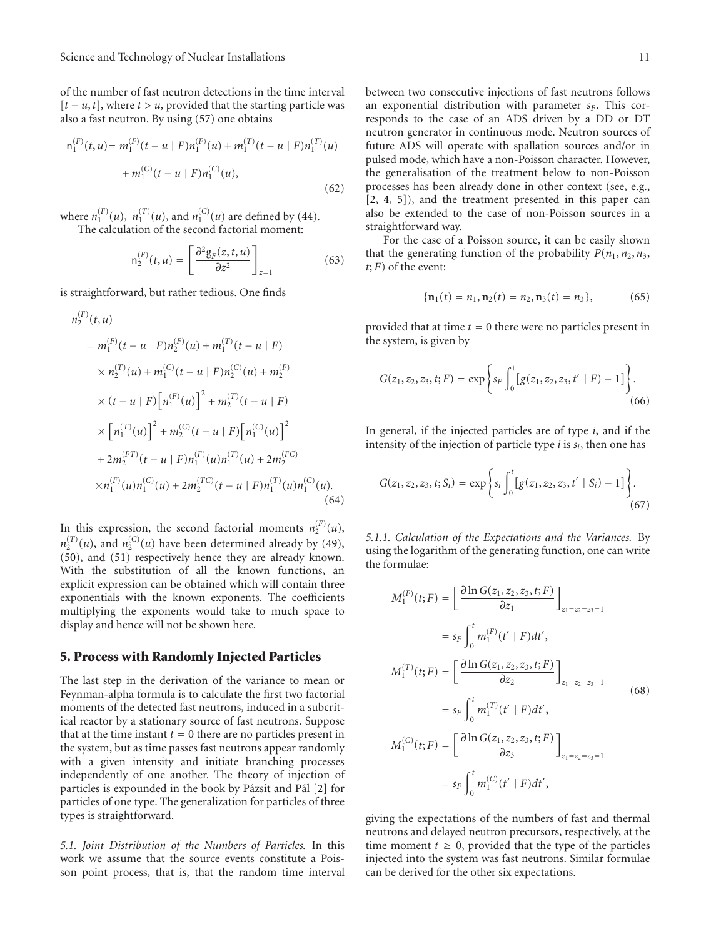of the number of fast neutron detections in the time interval  $[t - u, t]$ , where  $t > u$ , provided that the starting particle was also a fast neutron. By using (57) one obtains

$$
n_1^{(F)}(t, u) = m_1^{(F)}(t - u \mid F) n_1^{(F)}(u) + m_1^{(T)}(t - u \mid F) n_1^{(T)}(u)
$$
  
+ 
$$
m_1^{(C)}(t - u \mid F) n_1^{(C)}(u),
$$
 (62)

where  $n_1^{(F)}(u)$ ,  $n_1^{(T)}(u)$ , and  $n_1^{(C)}(u)$  are defined by (44). The calculation of the second factorial moment:

$$
\mathsf{n}_2^{(F)}(t,u) = \left[\frac{\partial^2 \mathsf{g}_F(z,t,u)}{\partial z^2}\right]_{z=1} \tag{63}
$$

is straightforward, but rather tedious. One finds

$$
n_2^{(F)}(t, u)
$$
  
=  $m_1^{(F)}(t - u \mid F) n_2^{(F)}(u) + m_1^{(T)}(t - u \mid F)$   
 $\times n_2^{(T)}(u) + m_1^{(C)}(t - u \mid F) n_2^{(C)}(u) + m_2^{(F)}$   
 $\times (t - u \mid F) [n_1^{(F)}(u)]^2 + m_2^{(T)}(t - u \mid F)$   
 $\times [n_1^{(T)}(u)]^2 + m_2^{(C)}(t - u \mid F) [n_1^{(C)}(u)]^2$   
 $+ 2m_2^{(FT)}(t - u \mid F) n_1^{(F)}(u) n_1^{(T)}(u) + 2m_2^{(FC)}$   
 $\times n_1^{(F)}(u) n_1^{(C)}(u) + 2m_2^{(TC)}(t - u \mid F) n_1^{(T)}(u) n_1^{(C)}(u).$   
(64)

In this expression, the second factorial moments  $n_2^{(F)}(u)$ ,  $n_2^{(T)}(u)$ , and  $n_2^{(C)}(u)$  have been determined already by (49), (50), and (51) respectively hence they are already known. With the substitution of all the known functions, an explicit expression can be obtained which will contain three exponentials with the known exponents. The coefficients multiplying the exponents would take to much space to display and hence will not be shown here.

#### **5. Process with Randomly Injected Particles**

The last step in the derivation of the variance to mean or Feynman-alpha formula is to calculate the first two factorial moments of the detected fast neutrons, induced in a subcritical reactor by a stationary source of fast neutrons. Suppose that at the time instant  $t = 0$  there are no particles present in the system, but as time passes fast neutrons appear randomly with a given intensity and initiate branching processes independently of one another. The theory of injection of particles is expounded in the book by Pázsit and Pál [2] for particles of one type. The generalization for particles of three types is straightforward.

*5.1. Joint Distribution of the Numbers of Particles.* In this work we assume that the source events constitute a Poisson point process, that is, that the random time interval

between two consecutive injections of fast neutrons follows an exponential distribution with parameter  $s_F$ . This corresponds to the case of an ADS driven by a DD or DT neutron generator in continuous mode. Neutron sources of future ADS will operate with spallation sources and/or in pulsed mode, which have a non-Poisson character. However, the generalisation of the treatment below to non-Poisson processes has been already done in other context (see, e.g., [2, 4, 5]), and the treatment presented in this paper can also be extended to the case of non-Poisson sources in a straightforward way.

For the case of a Poisson source, it can be easily shown that the generating function of the probability  $P(n_1, n_2, n_3)$ , *t*; *F*) of the event:

$$
\{\mathbf{n}_1(t) = n_1, \mathbf{n}_2(t) = n_2, \mathbf{n}_3(t) = n_3\},\tag{65}
$$

provided that at time *t* = 0 there were no particles present in the system, is given by

$$
G(z_1, z_2, z_3, t; F) = \exp\bigg\{s_F \int_0^t [g(z_1, z_2, z_3, t' | F) - 1] \bigg\}.
$$
\n(66)

In general, if the injected particles are of type *i*, and if the intensity of the injection of particle type  $i$  is  $s_i$ , then one has

$$
G(z_1, z_2, z_3, t; S_i) = \exp\left\{s_i \int_0^t [g(z_1, z_2, z_3, t' | S_i) - 1]\right\}.
$$
\n(67)

*5.1.1. Calculation of the Expectations and the Variances.* By using the logarithm of the generating function, one can write the formulae:

$$
M_1^{(F)}(t;F) = \left[\frac{\partial \ln G(z_1, z_2, z_3, t; F)}{\partial z_1}\right]_{z_1 = z_2 = z_3 = 1}
$$
  
\n
$$
= s_F \int_0^t m_1^{(F)}(t' \mid F) dt',
$$
  
\n
$$
M_1^{(T)}(t;F) = \left[\frac{\partial \ln G(z_1, z_2, z_3, t; F)}{\partial z_2}\right]_{z_1 = z_2 = z_3 = 1}
$$
  
\n
$$
= s_F \int_0^t m_1^{(T)}(t' \mid F) dt',
$$
  
\n
$$
M_1^{(C)}(t;F) = \left[\frac{\partial \ln G(z_1, z_2, z_3, t; F)}{\partial z_3}\right]_{z_1 = z_2 = z_3 = 1}
$$
  
\n
$$
= s_F \int_0^t m_1^{(C)}(t' \mid F) dt',
$$
\n(10)

giving the expectations of the numbers of fast and thermal neutrons and delayed neutron precursors, respectively, at the time moment  $t \geq 0$ , provided that the type of the particles injected into the system was fast neutrons. Similar formulae can be derived for the other six expectations.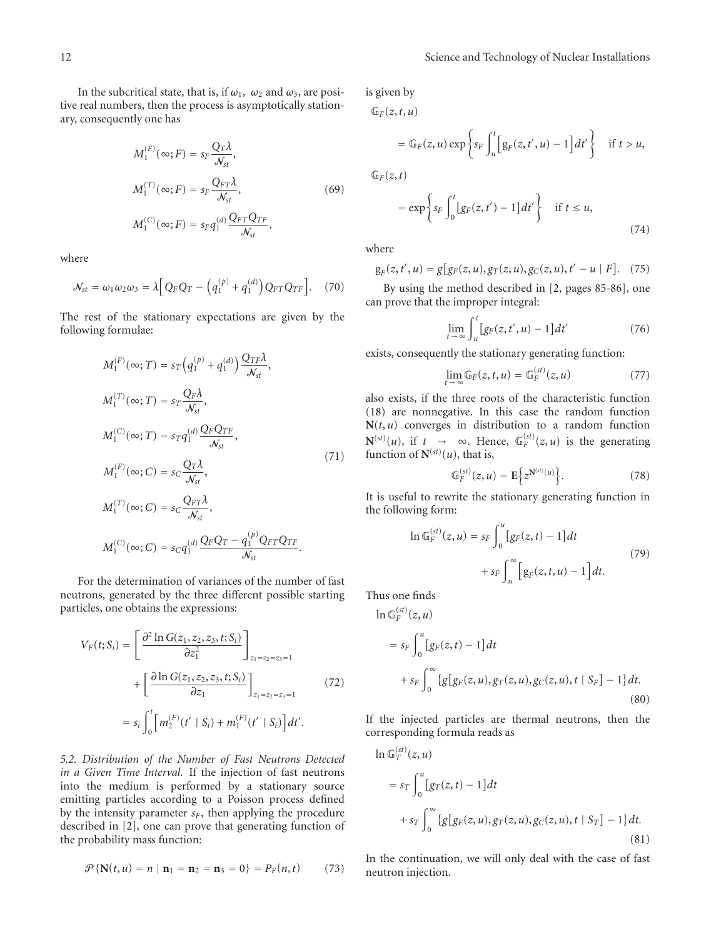In the subcritical state, that is, if  $\omega_1$ ,  $\omega_2$  and  $\omega_3$ , are positive real numbers, then the process is asymptotically stationary, consequently one has

$$
M_1^{(F)}(\infty; F) = s_F \frac{Q_T \lambda}{\mathcal{N}_{st}},
$$
  
\n
$$
M_1^{(T)}(\infty; F) = s_F \frac{Q_F \lambda}{\mathcal{N}_{st}},
$$
  
\n
$$
M_1^{(C)}(\infty; F) = s_F q_1^{(d)} \frac{Q_F \lambda}{\mathcal{N}_{st}},
$$
\n(69)

where

$$
\mathcal{N}_{st} = \omega_1 \omega_2 \omega_3 = \lambda \Big[ Q_F Q_T - \Big( q_1^{(p)} + q_1^{(d)} \Big) Q_{FT} Q_{TF} \Big]. \tag{70}
$$

The rest of the stationary expectations are given by the following formulae:

$$
M_1^{(F)}(\infty; T) = s_T \left( q_1^{(p)} + q_1^{(d)} \right) \frac{Q_{TF}\lambda}{\mathcal{N}_{st}},
$$
  
\n
$$
M_1^{(T)}(\infty; T) = s_T \frac{Q_F \lambda}{\mathcal{N}_{st}},
$$
  
\n
$$
M_1^{(C)}(\infty; T) = s_T q_1^{(d)} \frac{Q_F Q_{TF}}{\mathcal{N}_{st}},
$$
  
\n
$$
M_1^{(F)}(\infty; C) = s_C \frac{Q_T \lambda}{\mathcal{N}_{st}},
$$
  
\n
$$
M_1^{(T)}(\infty; C) = s_C \frac{Q_{FT}\lambda}{\mathcal{N}_{st}},
$$
  
\n
$$
M_1^{(C)}(\infty; C) = s_C q_1^{(d)} \frac{Q_F Q_T - q_1^{(p)} Q_{FT} Q_{TF}}{\mathcal{N}_{st}}.
$$
  
\n(71)

For the determination of variances of the number of fast neutrons, generated by the three different possible starting particles, one obtains the expressions:

$$
V_F(t; S_i) = \left[\frac{\partial^2 \ln G(z_1, z_2, z_3, t; S_i)}{\partial z_1^2}\right]_{z_1 = z_2 = z_3 = 1}
$$
  
+ 
$$
\left[\frac{\partial \ln G(z_1, z_2, z_3, t; S_i)}{\partial z_1}\right]_{z_1 = z_2 = z_3 = 1}
$$
 (72)  
=  $s_i \int_0^t \left[m_2^{(F)}(t' \mid S_i) + m_1^{(F)}(t' \mid S_i)\right] dt'.$ 

*5.2. Distribution of the Number of Fast Neutrons Detected in a Given Time Interval.* If the injection of fast neutrons into the medium is performed by a stationary source emitting particles according to a Poisson process defined by the intensity parameter  $s_F$ , then applying the procedure described in [2], one can prove that generating function of the probability mass function:

$$
\mathcal{P}\{\mathbf{N}(t,u) = n \mid \mathbf{n}_1 = \mathbf{n}_2 = \mathbf{n}_3 = 0\} = P_F(n,t) \tag{73}
$$

is given by

$$
\mathbb{G}_F(z,t,u)
$$

$$
= \mathbb{G}_F(z, u) \exp \left\{ s_F \int_u^t \Big[ g_F(z, t', u) - 1 \Big] dt' \right\} \quad \text{if } t > u,
$$

 $\mathbb{G}_F(z,t)$ 

$$
= \exp\left\{ s_F \int_0^t [g_F(z, t') - 1] dt' \right\} \quad \text{if } t \le u,
$$
\n(74)

where

$$
g_F(z, t', u) = g[g_F(z, u), g_T(z, u), g_C(z, u), t' - u | F]. \quad (75)
$$

By using the method described in [2, pages 85-86], one can prove that the improper integral:

$$
\lim_{t \to \infty} \int_{u}^{t} [g_F(z, t', u) - 1] dt'
$$
 (76)

exists, consequently the stationary generating function:

$$
\lim_{t \to \infty} \mathbb{G}_F(z, t, u) = \mathbb{G}_F^{(st)}(z, u)
$$
\n(77)

also exists, if the three roots of the characteristic function (18) are nonnegative. In this case the random function  $N(t, u)$  converges in distribution to a random function **N**<sup>(*st*)</sup>(*u*), if *t* → ∞. Hence,  $\mathbb{G}_F^{(st)}(z, u)$  is the generating function of  $N^{(st)}(u)$ , that is,

$$
\mathbb{G}_F^{(st)}(z,u) = \mathbf{E}\Big\{z^{\mathbf{N}^{(st)}(u)}\Big\}.
$$
 (78)

It is useful to rewrite the stationary generating function in the following form:

$$
\ln \mathbb{G}_F^{(st)}(z, u) = s_F \int_0^u [g_F(z, t) - 1] dt
$$
  
+ 
$$
s_F \int_u^\infty [g_F(z, t, u) - 1] dt.
$$
 (79)

Thus one finds

$$
\ln \mathbb{G}_F^{(st)}(z, u)
$$
\n
$$
= s_F \int_0^u [g_F(z, t) - 1] dt
$$
\n
$$
+ s_F \int_0^\infty \{g[g_F(z, u), g_T(z, u), g_C(z, u), t | S_F] - 1\} dt.
$$
\n(80)

If the injected particles are thermal neutrons, then the corresponding formula reads as

$$
\ln \mathbb{G}_T^{(st)}(z, u)
$$
\n
$$
= s_T \int_0^u [g_T(z, t) - 1] dt
$$
\n
$$
+ s_T \int_0^\infty \{g[g_F(z, u), g_T(z, u), g_C(z, u), t | S_T] - 1\} dt.
$$
\n(81)

In the continuation, we will only deal with the case of fast neutron injection.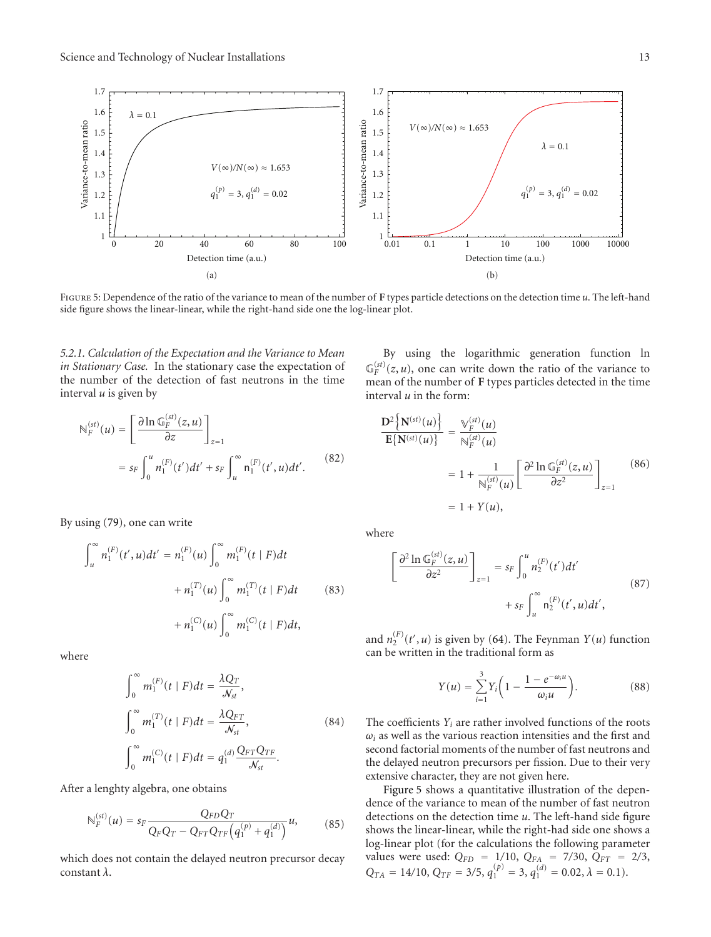

Figure 5: Dependence of the ratio of the variance to mean of the number of **F** types particle detections on the detection time *u*. The left-hand side figure shows the linear-linear, while the right-hand side one the log-linear plot.

*5.2.1. Calculation of the Expectation and the Variance to Mean in Stationary Case.* In the stationary case the expectation of the number of the detection of fast neutrons in the time interval *u* is given by

$$
\mathbb{N}_F^{(st)}(u) = \left[\frac{\partial \ln \mathbb{G}_F^{(st)}(z, u)}{\partial z}\right]_{z=1}
$$
  
=  $s_F \int_0^u n_1^{(F)}(t')dt' + s_F \int_u^\infty n_1^{(F)}(t', u)dt'.$  (82)

By using (79), one can write

$$
\int_{u}^{\infty} n_{1}^{(F)}(t', u)dt' = n_{1}^{(F)}(u) \int_{0}^{\infty} m_{1}^{(F)}(t | F)dt
$$
  
+  $n_{1}^{(T)}(u) \int_{0}^{\infty} m_{1}^{(T)}(t | F)dt$  (83)  
+  $n_{1}^{(C)}(u) \int_{0}^{\infty} m_{1}^{(C)}(t | F)dt$ ,

where

$$
\int_0^\infty m_1^{(F)}(t \mid F)dt = \frac{\lambda Q_T}{\mathcal{N}_{st}},
$$
  

$$
\int_0^\infty m_1^{(T)}(t \mid F)dt = \frac{\lambda Q_{FT}}{\mathcal{N}_{st}},
$$
  

$$
\int_0^\infty m_1^{(C)}(t \mid F)dt = q_1^{(d)} \frac{Q_{FT} Q_{TF}}{\mathcal{N}_{st}}.
$$
 (84)

After a lenghty algebra, one obtains

$$
\mathbb{N}_F^{(st)}(u) = s_F \frac{Q_{FD} Q_T}{Q_F Q_T - Q_{FT} Q_{TF} \left( q_1^{(p)} + q_1^{(d)} \right)} u, \tag{85}
$$

which does not contain the delayed neutron precursor decay constant *λ*.

By using the logarithmic generation function ln  $\mathbb{G}_F^{(st)}(z, u)$ , one can write down the ratio of the variance to mean of the number of **F** types particles detected in the time interval *u* in the form:

$$
\frac{\mathbf{D}^2 \left\{ \mathbf{N}^{(st)}(u) \right\}}{\mathbf{E} \left\{ \mathbf{N}^{(st)}(u) \right\}} = \frac{\mathbb{V}_F^{(st)}(u)}{\mathbb{N}_F^{(st)}(u)}
$$
\n
$$
= 1 + \frac{1}{\mathbb{N}_F^{(st)}(u)} \left[ \frac{\partial^2 \ln \mathbb{G}_F^{(st)}(z, u)}{\partial z^2} \right]_{z=1} \tag{86}
$$
\n
$$
= 1 + Y(u),
$$

where

$$
\left[\frac{\partial^2 \ln \mathbb{G}_F^{(st)}(z, u)}{\partial z^2}\right]_{z=1} = s_F \int_0^u n_2^{(F)}(t')dt' + s_F \int_u^\infty n_2^{(F)}(t', u)dt',
$$
\n(87)

and  $n_2^{(F)}(t', u)$  is given by (64). The Feynman  $Y(u)$  function can be written in the traditional form as

$$
Y(u) = \sum_{i=1}^{3} Y_i \bigg( 1 - \frac{1 - e^{-\omega_i u}}{\omega_i u} \bigg). \tag{88}
$$

The coefficients  $Y_i$  are rather involved functions of the roots  $\omega_i$  as well as the various reaction intensities and the first and second factorial moments of the number of fast neutrons and the delayed neutron precursors per fission. Due to their very extensive character, they are not given here.

Figure 5 shows a quantitative illustration of the dependence of the variance to mean of the number of fast neutron detections on the detection time *u*. The left-hand side figure shows the linear-linear, while the right-had side one shows a log-linear plot (for the calculations the following parameter values were used: *QFD* = 1*/*10, *QFA* = 7*/*30, *QFT* = 2*/*3,  $Q_{TA} = 14/10$ ,  $Q_{TF} = 3/5$ ,  $q_1^{(p)} = 3$ ,  $q_1^{(d)} = 0.02$ ,  $\lambda = 0.1$ ).